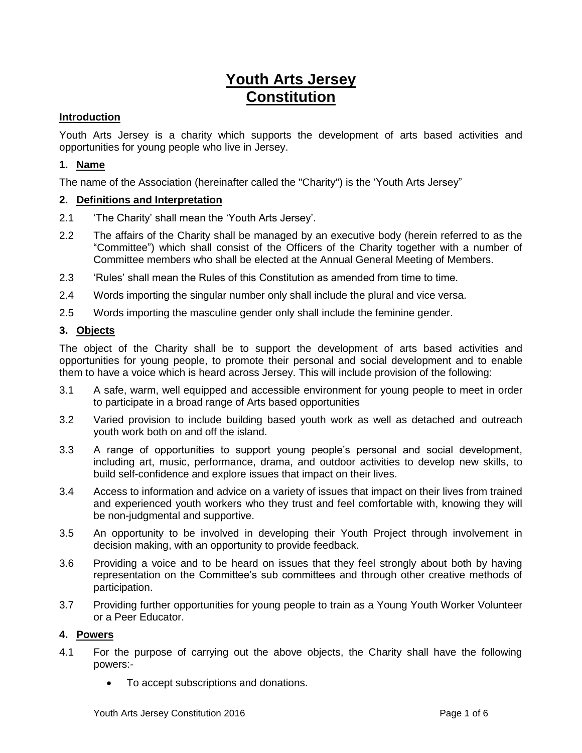# **Youth Arts Jersey Constitution**

# **Introduction**

Youth Arts Jersey is a charity which supports the development of arts based activities and opportunities for young people who live in Jersey.

## **1. Name**

The name of the Association (hereinafter called the "Charity") is the 'Youth Arts Jersey"

## **2. Definitions and Interpretation**

- 2.1 'The Charity' shall mean the 'Youth Arts Jersey'.
- 2.2 The affairs of the Charity shall be managed by an executive body (herein referred to as the "Committee") which shall consist of the Officers of the Charity together with a number of Committee members who shall be elected at the Annual General Meeting of Members.
- 2.3 'Rules' shall mean the Rules of this Constitution as amended from time to time.
- 2.4 Words importing the singular number only shall include the plural and vice versa.
- 2.5 Words importing the masculine gender only shall include the feminine gender.

## **3. Objects**

The object of the Charity shall be to support the development of arts based activities and opportunities for young people, to promote their personal and social development and to enable them to have a voice which is heard across Jersey. This will include provision of the following:

- 3.1 A safe, warm, well equipped and accessible environment for young people to meet in order to participate in a broad range of Arts based opportunities
- 3.2 Varied provision to include building based youth work as well as detached and outreach youth work both on and off the island.
- 3.3 A range of opportunities to support young people's personal and social development, including art, music, performance, drama, and outdoor activities to develop new skills, to build self-confidence and explore issues that impact on their lives.
- 3.4 Access to information and advice on a variety of issues that impact on their lives from trained and experienced youth workers who they trust and feel comfortable with, knowing they will be non-judgmental and supportive.
- 3.5 An opportunity to be involved in developing their Youth Project through involvement in decision making, with an opportunity to provide feedback.
- 3.6 Providing a voice and to be heard on issues that they feel strongly about both by having representation on the Committee's sub committees and through other creative methods of participation.
- 3.7 Providing further opportunities for young people to train as a Young Youth Worker Volunteer or a Peer Educator.

#### **4. Powers**

- 4.1 For the purpose of carrying out the above objects, the Charity shall have the following powers:-
	- To accept subscriptions and donations.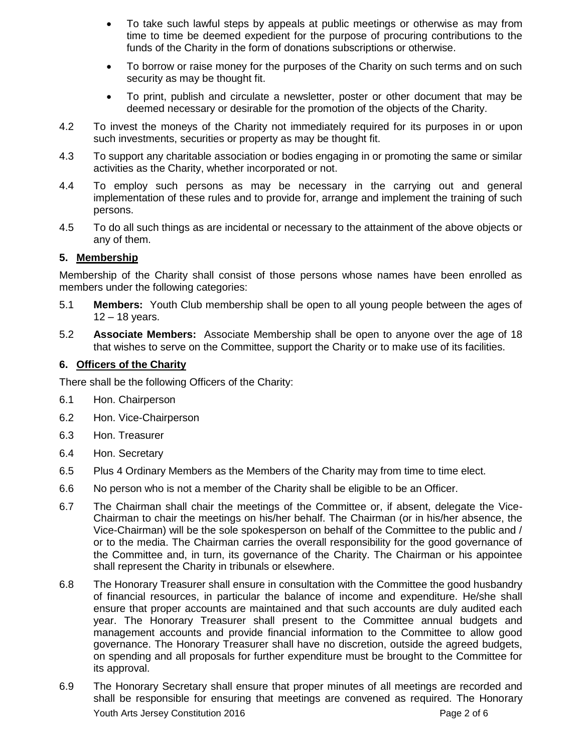- To take such lawful steps by appeals at public meetings or otherwise as may from time to time be deemed expedient for the purpose of procuring contributions to the funds of the Charity in the form of donations subscriptions or otherwise.
- To borrow or raise money for the purposes of the Charity on such terms and on such security as may be thought fit.
- To print, publish and circulate a newsletter, poster or other document that may be deemed necessary or desirable for the promotion of the objects of the Charity.
- 4.2 To invest the moneys of the Charity not immediately required for its purposes in or upon such investments, securities or property as may be thought fit.
- 4.3 To support any charitable association or bodies engaging in or promoting the same or similar activities as the Charity, whether incorporated or not.
- 4.4 To employ such persons as may be necessary in the carrying out and general implementation of these rules and to provide for, arrange and implement the training of such persons.
- 4.5 To do all such things as are incidental or necessary to the attainment of the above objects or any of them.

# **5. Membership**

Membership of the Charity shall consist of those persons whose names have been enrolled as members under the following categories:

- 5.1 **Members:** Youth Club membership shall be open to all young people between the ages of 12 – 18 years.
- 5.2 **Associate Members:** Associate Membership shall be open to anyone over the age of 18 that wishes to serve on the Committee, support the Charity or to make use of its facilities.

## **6. Officers of the Charity**

There shall be the following Officers of the Charity:

- 6.1 Hon. Chairperson
- 6.2 Hon. Vice-Chairperson
- 6.3 Hon. Treasurer
- 6.4 Hon. Secretary
- 6.5 Plus 4 Ordinary Members as the Members of the Charity may from time to time elect.
- 6.6 No person who is not a member of the Charity shall be eligible to be an Officer.
- 6.7 The Chairman shall chair the meetings of the Committee or, if absent, delegate the Vice-Chairman to chair the meetings on his/her behalf. The Chairman (or in his/her absence, the Vice-Chairman) will be the sole spokesperson on behalf of the Committee to the public and / or to the media. The Chairman carries the overall responsibility for the good governance of the Committee and, in turn, its governance of the Charity. The Chairman or his appointee shall represent the Charity in tribunals or elsewhere.
- 6.8 The Honorary Treasurer shall ensure in consultation with the Committee the good husbandry of financial resources, in particular the balance of income and expenditure. He/she shall ensure that proper accounts are maintained and that such accounts are duly audited each year. The Honorary Treasurer shall present to the Committee annual budgets and management accounts and provide financial information to the Committee to allow good governance. The Honorary Treasurer shall have no discretion, outside the agreed budgets, on spending and all proposals for further expenditure must be brought to the Committee for its approval.
- Youth Arts Jersey Constitution 2016 **Page 2 of 6** Page 2 of 6 6.9 The Honorary Secretary shall ensure that proper minutes of all meetings are recorded and shall be responsible for ensuring that meetings are convened as required. The Honorary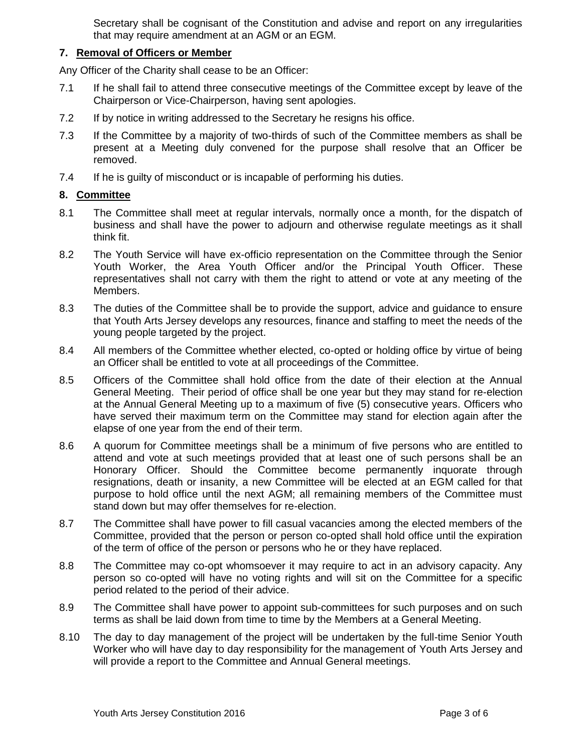Secretary shall be cognisant of the Constitution and advise and report on any irregularities that may require amendment at an AGM or an EGM.

# **7. Removal of Officers or Member**

Any Officer of the Charity shall cease to be an Officer:

- 7.1 If he shall fail to attend three consecutive meetings of the Committee except by leave of the Chairperson or Vice-Chairperson, having sent apologies.
- 7.2 If by notice in writing addressed to the Secretary he resigns his office.
- 7.3 If the Committee by a majority of two-thirds of such of the Committee members as shall be present at a Meeting duly convened for the purpose shall resolve that an Officer be removed.
- 7.4 If he is guilty of misconduct or is incapable of performing his duties.

## **8. Committee**

- 8.1 The Committee shall meet at regular intervals, normally once a month, for the dispatch of business and shall have the power to adjourn and otherwise regulate meetings as it shall think fit.
- 8.2 The Youth Service will have ex-officio representation on the Committee through the Senior Youth Worker, the Area Youth Officer and/or the Principal Youth Officer. These representatives shall not carry with them the right to attend or vote at any meeting of the Members.
- 8.3 The duties of the Committee shall be to provide the support, advice and guidance to ensure that Youth Arts Jersey develops any resources, finance and staffing to meet the needs of the young people targeted by the project.
- 8.4 All members of the Committee whether elected, co-opted or holding office by virtue of being an Officer shall be entitled to vote at all proceedings of the Committee.
- 8.5 Officers of the Committee shall hold office from the date of their election at the Annual General Meeting. Their period of office shall be one year but they may stand for re-election at the Annual General Meeting up to a maximum of five (5) consecutive years. Officers who have served their maximum term on the Committee may stand for election again after the elapse of one year from the end of their term.
- 8.6 A quorum for Committee meetings shall be a minimum of five persons who are entitled to attend and vote at such meetings provided that at least one of such persons shall be an Honorary Officer. Should the Committee become permanently inquorate through resignations, death or insanity, a new Committee will be elected at an EGM called for that purpose to hold office until the next AGM; all remaining members of the Committee must stand down but may offer themselves for re-election.
- 8.7 The Committee shall have power to fill casual vacancies among the elected members of the Committee, provided that the person or person co-opted shall hold office until the expiration of the term of office of the person or persons who he or they have replaced.
- 8.8 The Committee may co-opt whomsoever it may require to act in an advisory capacity. Any person so co-opted will have no voting rights and will sit on the Committee for a specific period related to the period of their advice.
- 8.9 The Committee shall have power to appoint sub-committees for such purposes and on such terms as shall be laid down from time to time by the Members at a General Meeting.
- 8.10 The day to day management of the project will be undertaken by the full-time Senior Youth Worker who will have day to day responsibility for the management of Youth Arts Jersey and will provide a report to the Committee and Annual General meetings.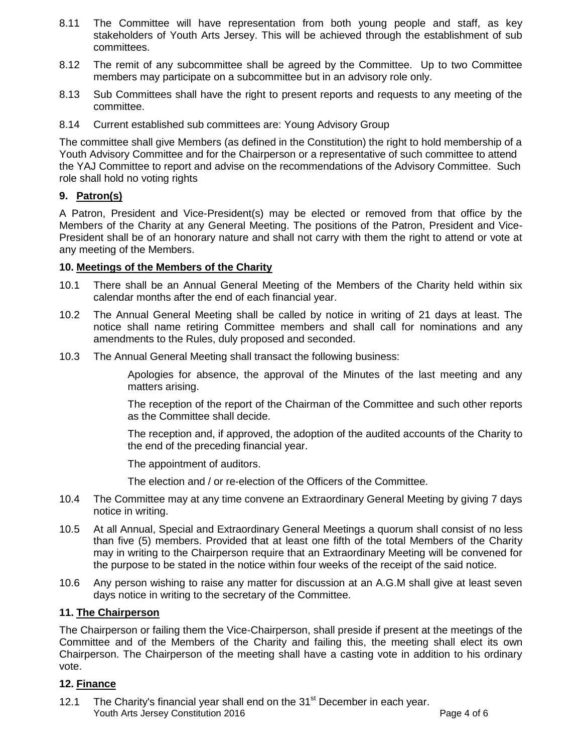- 8.11 The Committee will have representation from both young people and staff, as key stakeholders of Youth Arts Jersey. This will be achieved through the establishment of sub committees.
- 8.12 The remit of any subcommittee shall be agreed by the Committee. Up to two Committee members may participate on a subcommittee but in an advisory role only.
- 8.13 Sub Committees shall have the right to present reports and requests to any meeting of the committee.
- 8.14 Current established sub committees are: Young Advisory Group

The committee shall give Members (as defined in the Constitution) the right to hold membership of a Youth Advisory Committee and for the Chairperson or a representative of such committee to attend the YAJ Committee to report and advise on the recommendations of the Advisory Committee. Such role shall hold no voting rights

# **9. Patron(s)**

A Patron, President and Vice-President(s) may be elected or removed from that office by the Members of the Charity at any General Meeting. The positions of the Patron, President and Vice-President shall be of an honorary nature and shall not carry with them the right to attend or vote at any meeting of the Members.

# **10. Meetings of the Members of the Charity**

- 10.1 There shall be an Annual General Meeting of the Members of the Charity held within six calendar months after the end of each financial year.
- 10.2 The Annual General Meeting shall be called by notice in writing of 21 days at least. The notice shall name retiring Committee members and shall call for nominations and any amendments to the Rules, duly proposed and seconded.
- 10.3 The Annual General Meeting shall transact the following business:

Apologies for absence, the approval of the Minutes of the last meeting and any matters arising.

The reception of the report of the Chairman of the Committee and such other reports as the Committee shall decide.

The reception and, if approved, the adoption of the audited accounts of the Charity to the end of the preceding financial year.

The appointment of auditors.

The election and / or re-election of the Officers of the Committee.

- 10.4 The Committee may at any time convene an Extraordinary General Meeting by giving 7 days notice in writing.
- 10.5 At all Annual, Special and Extraordinary General Meetings a quorum shall consist of no less than five (5) members. Provided that at least one fifth of the total Members of the Charity may in writing to the Chairperson require that an Extraordinary Meeting will be convened for the purpose to be stated in the notice within four weeks of the receipt of the said notice.
- 10.6 Any person wishing to raise any matter for discussion at an A.G.M shall give at least seven days notice in writing to the secretary of the Committee.

# **11. The Chairperson**

The Chairperson or failing them the Vice-Chairperson, shall preside if present at the meetings of the Committee and of the Members of the Charity and failing this, the meeting shall elect its own Chairperson. The Chairperson of the meeting shall have a casting vote in addition to his ordinary vote.

# **12. Finance**

Youth Arts Jersey Constitution 2016 **Page 4 of 6** Page 4 of 6 12.1 The Charity's financial year shall end on the  $31<sup>st</sup>$  December in each year.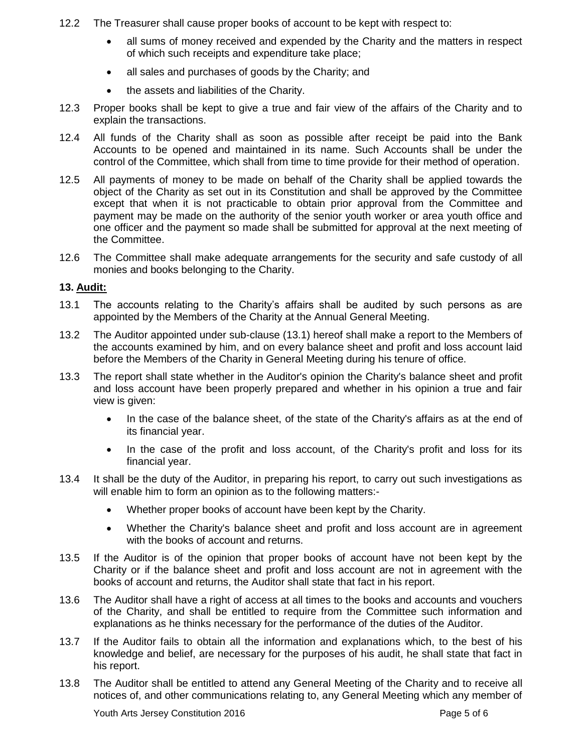- 12.2 The Treasurer shall cause proper books of account to be kept with respect to:
	- all sums of money received and expended by the Charity and the matters in respect of which such receipts and expenditure take place;
	- all sales and purchases of goods by the Charity; and
	- the assets and liabilities of the Charity.
- 12.3 Proper books shall be kept to give a true and fair view of the affairs of the Charity and to explain the transactions.
- 12.4 All funds of the Charity shall as soon as possible after receipt be paid into the Bank Accounts to be opened and maintained in its name. Such Accounts shall be under the control of the Committee, which shall from time to time provide for their method of operation.
- 12.5 All payments of money to be made on behalf of the Charity shall be applied towards the object of the Charity as set out in its Constitution and shall be approved by the Committee except that when it is not practicable to obtain prior approval from the Committee and payment may be made on the authority of the senior youth worker or area youth office and one officer and the payment so made shall be submitted for approval at the next meeting of the Committee.
- 12.6 The Committee shall make adequate arrangements for the security and safe custody of all monies and books belonging to the Charity.

# **13. Audit:**

- 13.1 The accounts relating to the Charity's affairs shall be audited by such persons as are appointed by the Members of the Charity at the Annual General Meeting.
- 13.2 The Auditor appointed under sub-clause (13.1) hereof shall make a report to the Members of the accounts examined by him, and on every balance sheet and profit and loss account laid before the Members of the Charity in General Meeting during his tenure of office.
- 13.3 The report shall state whether in the Auditor's opinion the Charity's balance sheet and profit and loss account have been properly prepared and whether in his opinion a true and fair view is given:
	- In the case of the balance sheet, of the state of the Charity's affairs as at the end of its financial year.
	- In the case of the profit and loss account, of the Charity's profit and loss for its financial year.
- 13.4 It shall be the duty of the Auditor, in preparing his report, to carry out such investigations as will enable him to form an opinion as to the following matters:-
	- Whether proper books of account have been kept by the Charity.
	- Whether the Charity's balance sheet and profit and loss account are in agreement with the books of account and returns.
- 13.5 If the Auditor is of the opinion that proper books of account have not been kept by the Charity or if the balance sheet and profit and loss account are not in agreement with the books of account and returns, the Auditor shall state that fact in his report.
- 13.6 The Auditor shall have a right of access at all times to the books and accounts and vouchers of the Charity, and shall be entitled to require from the Committee such information and explanations as he thinks necessary for the performance of the duties of the Auditor.
- 13.7 If the Auditor fails to obtain all the information and explanations which, to the best of his knowledge and belief, are necessary for the purposes of his audit, he shall state that fact in his report.
- 13.8 The Auditor shall be entitled to attend any General Meeting of the Charity and to receive all notices of, and other communications relating to, any General Meeting which any member of